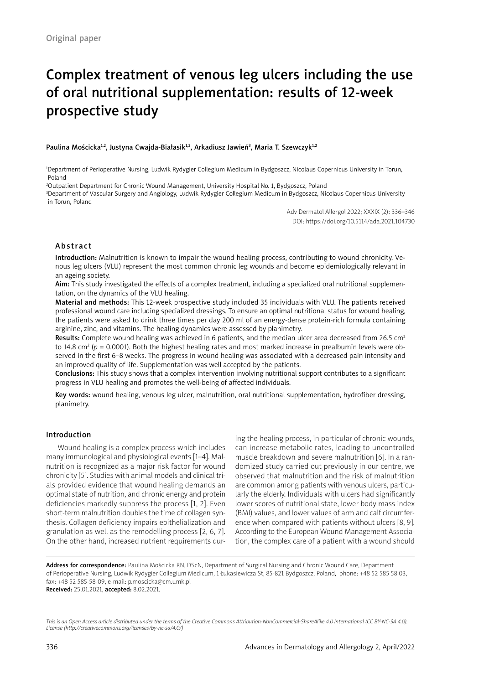# Complex treatment of venous leg ulcers including the use of oral nutritional supplementation: results of 12-week prospective study

Paulina Mościcka½, Justyna Cwajda-Białasik½, Arkadiusz Jawień3, Maria T. Szewczyk½

1 Department of Perioperative Nursing, Ludwik Rydygier Collegium Medicum in Bydgoszcz, Nicolaus Copernicus University in Torun, Poland

2 Outpatient Department for Chronic Wound Management, University Hospital No. 1, Bydgoszcz, Poland

3 Department of Vascular Surgery and Angiology, Ludwik Rydygier Collegium Medicum in Bydgoszcz, Nicolaus Copernicus University in Torun, Poland

> Adv Dermatol Allergol 2022; XXXIX (2): 336–346 DOI: https://doi.org/10.5114/ada.2021.104730

#### Abstract

Introduction: Malnutrition is known to impair the wound healing process, contributing to wound chronicity. Venous leg ulcers (VLU) represent the most common chronic leg wounds and become epidemiologically relevant in an ageing society.

Aim: This study investigated the effects of a complex treatment, including a specialized oral nutritional supplementation, on the dynamics of the VLU healing.

Material and methods: This 12-week prospective study included 35 individuals with VLU. The patients received professional wound care including specialized dressings. To ensure an optimal nutritional status for wound healing, the patients were asked to drink three times per day 200 ml of an energy-dense protein-rich formula containing arginine, zinc, and vitamins. The healing dynamics were assessed by planimetry.

Results: Complete wound healing was achieved in 6 patients, and the median ulcer area decreased from 26.5 cm<sup>2</sup> to 14.8 cm<sup>2</sup> (p = 0.0001). Both the highest healing rates and most marked increase in prealbumin levels were observed in the first 6–8 weeks. The progress in wound healing was associated with a decreased pain intensity and an improved quality of life. Supplementation was well accepted by the patients.

Conclusions: This study shows that a complex intervention involving nutritional support contributes to a significant progress in VLU healing and promotes the well-being of affected individuals.

Key words: wound healing, venous leg ulcer, malnutrition, oral nutritional supplementation, hydrofiber dressing, planimetry.

## Introduction

Wound healing is a complex process which includes many immunological and physiological events [1–4]. Malnutrition is recognized as a major risk factor for wound chronicity [5]. Studies with animal models and clinical trials provided evidence that wound healing demands an optimal state of nutrition, and chronic energy and protein deficiencies markedly suppress the process [1, 2]. Even short-term malnutrition doubles the time of collagen synthesis. Collagen deficiency impairs epithelialization and granulation as well as the remodelling process [2, 6, 7]. On the other hand, increased nutrient requirements during the healing process, in particular of chronic wounds, can increase metabolic rates, leading to uncontrolled muscle breakdown and severe malnutrition [6]. In a randomized study carried out previously in our centre, we observed that malnutrition and the risk of malnutrition are common among patients with venous ulcers, particularly the elderly. Individuals with ulcers had significantly lower scores of nutritional state, lower body mass index (BMI) values, and lower values of arm and calf circumference when compared with patients without ulcers [8, 9]. According to the European Wound Management Association, the complex care of a patient with a wound should

Address for correspondence: Paulina Mościcka RN, DScN, Department of Surgical Nursing and Chronic Wound Care, Department of Perioperative Nursing, Ludwik Rydygier Collegium Medicum, 1 Łukasiewicza St, 85-821 Bydgoszcz, Poland, phone: +48 52 585 58 03, fax: +48 52 585-58-09, e-mail: p.moscicka@cm.umk.pl Received: 25.01.2021, accepted: 8.02.2021.

*This is an Open Access article distributed under the terms of the Creative Commons Attribution-NonCommercial-ShareAlike 4.0 International (CC BY-NC-SA 4.0). License (http://creativecommons.org/licenses/by-nc-sa/4.0/)*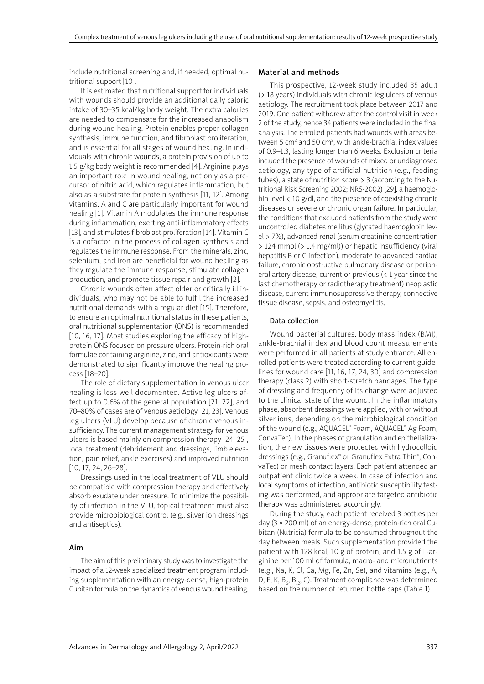include nutritional screening and, if needed, optimal nutritional support [10].

It is estimated that nutritional support for individuals with wounds should provide an additional daily caloric intake of 30–35 kcal/kg body weight. The extra calories are needed to compensate for the increased anabolism during wound healing. Protein enables proper collagen synthesis, immune function, and fibroblast proliferation, and is essential for all stages of wound healing. In individuals with chronic wounds, a protein provision of up to 1.5 g/kg body weight is recommended [4]. Arginine plays an important role in wound healing, not only as a precursor of nitric acid, which regulates inflammation, but also as a substrate for protein synthesis [11, 12]. Among vitamins, A and C are particularly important for wound healing [1]. Vitamin A modulates the immune response during inflammation, exerting anti-inflammatory effects [13], and stimulates fibroblast proliferation [14]. Vitamin C is a cofactor in the process of collagen synthesis and regulates the immune response. From the minerals, zinc, selenium, and iron are beneficial for wound healing as they regulate the immune response, stimulate collagen production, and promote tissue repair and growth [2].

Chronic wounds often affect older or critically ill individuals, who may not be able to fulfil the increased nutritional demands with a regular diet [15]. Therefore, to ensure an optimal nutritional status in these patients, oral nutritional supplementation (ONS) is recommended [10, 16, 17]. Most studies exploring the efficacy of highprotein ONS focused on pressure ulcers. Protein-rich oral formulae containing arginine, zinc, and antioxidants were demonstrated to significantly improve the healing process [18–20].

The role of dietary supplementation in venous ulcer healing is less well documented. Active leg ulcers affect up to 0.6% of the general population [21, 22], and 70–80% of cases are of venous aetiology [21, 23]. Venous leg ulcers (VLU) develop because of chronic venous insufficiency. The current management strategy for venous ulcers is based mainly on compression therapy [24, 25], local treatment (debridement and dressings, limb elevation, pain relief, ankle exercises) and improved nutrition [10, 17, 24, 26–28].

Dressings used in the local treatment of VLU should be compatible with compression therapy and effectively absorb exudate under pressure. To minimize the possibility of infection in the VLU, topical treatment must also provide microbiological control (e.g., silver ion dressings and antiseptics).

# Aim

The aim of this preliminary study was to investigate the impact of a 12-week specialized treatment program including supplementation with an energy-dense, high-protein Cubitan formula on the dynamics of venous wound healing.

#### Material and methods

This prospective, 12-week study included 35 adult (> 18 years) individuals with chronic leg ulcers of venous aetiology. The recruitment took place between 2017 and 2019. One patient withdrew after the control visit in week 2 of the study, hence 34 patients were included in the final analysis. The enrolled patients had wounds with areas between 5 cm<sup>2</sup> and 50 cm<sup>2</sup>, with ankle-brachial index values of 0.9–1.3, lasting longer than 6 weeks. Exclusion criteria included the presence of wounds of mixed or undiagnosed aetiology, any type of artificial nutrition (e.g., feeding tubes), a state of nutrition score > 3 (according to the Nutritional Risk Screening 2002; NRS-2002) [29], a haemoglobin level < 10 g/dl, and the presence of coexisting chronic diseases or severe or chronic organ failure. In particular, the conditions that excluded patients from the study were uncontrolled diabetes mellitus (glycated haemoglobin level > 7%), advanced renal (serum creatinine concentration > 124 mmol (> 1.4 mg/ml)) or hepatic insufficiency (viral hepatitis B or C infection), moderate to advanced cardiac failure, chronic obstructive pulmonary disease or peripheral artery disease, current or previous (< 1 year since the last chemotherapy or radiotherapy treatment) neoplastic disease, current immunosuppressive therapy, connective tissue disease, sepsis, and osteomyelitis.

#### Data collection

Wound bacterial cultures, body mass index (BMI), ankle-brachial index and blood count measurements were performed in all patients at study entrance. All enrolled patients were treated according to current guidelines for wound care [11, 16, 17, 24, 30] and compression therapy (class 2) with short-stretch bandages. The type of dressing and frequency of its change were adjusted to the clinical state of the wound. In the inflammatory phase, absorbent dressings were applied, with or without silver ions, depending on the microbiological condition of the wound (e.g., AQUACEL® Foam, AQUACEL® Ag Foam, ConvaTec). In the phases of granulation and epithelialization, the new tissues were protected with hydrocolloid dressings (e.g., Granuflex® or Granuflex Extra Thin®, ConvaTec) or mesh contact layers. Each patient attended an outpatient clinic twice a week. In case of infection and local symptoms of infection, antibiotic susceptibility testing was performed, and appropriate targeted antibiotic therapy was administered accordingly.

During the study, each patient received 3 bottles per day (3 × 200 ml) of an energy-dense, protein-rich oral Cubitan (Nutricia) formula to be consumed throughout the day between meals. Such supplementation provided the patient with 128 kcal, 10 g of protein, and 1.5 g of L-arginine per 100 ml of formula, macro- and micronutrients (e.g., Na, K, Cl, Ca, Mg, Fe, Zn, Se), and vitamins (e.g., A, D, E, K,  $B_{6}$ ,  $B_{12}$ , C). Treatment compliance was determined based on the number of returned bottle caps (Table 1).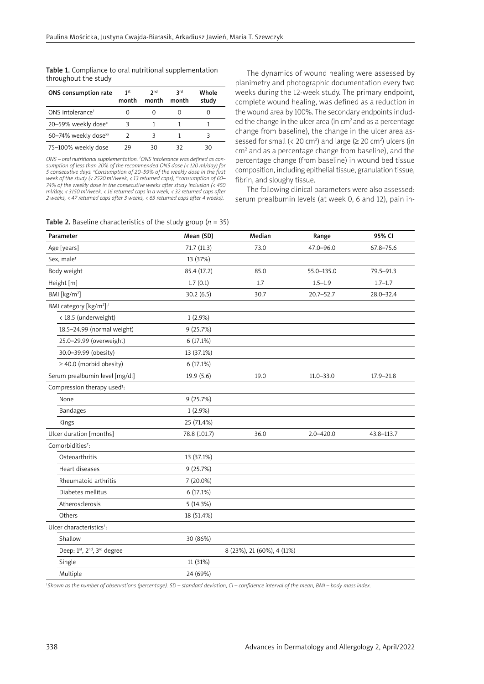Table 1. Compliance to oral nutritional supplementation throughout the study

| ONS consumption rate             | 1st<br>month | 2 <sub>nd</sub><br>month | <b>3rd</b><br>month | Whole<br>study |
|----------------------------------|--------------|--------------------------|---------------------|----------------|
| ONS intolerance <sup>+</sup>     |              |                          |                     |                |
| 20-59% weekly dose <sup>x</sup>  | 3            |                          |                     |                |
| 60-74% weekly dose <sup>xx</sup> |              |                          |                     |                |
| 75-100% weekly dose              | 29           | 30                       | 32                  | חצ             |

*ONS – oral nutritional supplementation. † ONS intolerance was defined as consumption of less than 20% of the recommended ONS dose (< 120 ml/day) for 5 consecutive days. x Consumption of 20–59% of the weekly dose in the first week of the study (< 2520 ml/week, < 13 returned caps), xxconsumption of 60– 74% of the weekly dose in the consecutive weeks after study inclusion (< 450 ml/day, < 3150 ml/week, < 16 returned caps in a week, < 32 returned caps after 2 weeks, < 47 returned caps after 3 weeks, < 63 returned caps after 4 weeks).*

The dynamics of wound healing were assessed by planimetry and photographic documentation every two weeks during the 12-week study. The primary endpoint, complete wound healing, was defined as a reduction in the wound area by 100%. The secondary endpoints included the change in the ulcer area (in cm<sup>2</sup> and as a percentage change from baseline), the change in the ulcer area assessed for small (< 20 cm<sup>2</sup>) and large ( $\geq$  20 cm<sup>2</sup>) ulcers (in cm<sup>2</sup> and as a percentage change from baseline), and the percentage change (from baseline) in wound bed tissue composition, including epithelial tissue, granulation tissue, fibrin, and sloughy tissue.

The following clinical parameters were also assessed: serum prealbumin levels (at week 0, 6 and 12), pain in-

| <b>Table 2.</b> Baseline characteristics of the study group ( $n = 35$ ) |  |
|--------------------------------------------------------------------------|--|
|--------------------------------------------------------------------------|--|

| Parameter                                       | Mean (SD)    | Median                     | Range         | 95% CI        |
|-------------------------------------------------|--------------|----------------------------|---------------|---------------|
| Age [years]                                     | 71.7(11.3)   | 73.0                       | 47.0-96.0     | $67.8 - 75.6$ |
| Sex, male <sup>t</sup>                          | 13 (37%)     |                            |               |               |
| Body weight                                     | 85.4 (17.2)  | 85.0                       | 55.0-135.0    | 79.5-91.3     |
| Height [m]                                      | 1.7(0.1)     | 1.7                        | $1.5 - 1.9$   | $1.7 - 1.7$   |
| BMI [kg/m <sup>2</sup> ]                        | 30.2(6.5)    | 30.7                       | $20.7 - 52.7$ | 28.0-32.4     |
| BMI category [kg/m <sup>2</sup> ]: <sup>†</sup> |              |                            |               |               |
| < 18.5 (underweight)                            | $1(2.9\%)$   |                            |               |               |
| 18.5-24.99 (normal weight)                      | 9(25.7%)     |                            |               |               |
| 25.0-29.99 (overweight)                         | 6 (17.1%)    |                            |               |               |
| 30.0-39.99 (obesity)                            | 13 (37.1%)   |                            |               |               |
| $\geq$ 40.0 (morbid obesity)                    | 6(17.1%)     |                            |               |               |
| Serum prealbumin level [mg/dl]                  | 19.9(5.6)    | 19.0                       | $11.0 - 33.0$ | $17.9 - 21.8$ |
| Compression therapy used <sup>t</sup> :         |              |                            |               |               |
| None                                            | 9(25.7%)     |                            |               |               |
| <b>Bandages</b>                                 | $1(2.9\%)$   |                            |               |               |
| Kings                                           | 25 (71.4%)   |                            |               |               |
| Ulcer duration [months]                         | 78.8 (101.7) | 36.0                       | $2.0 - 420.0$ | 43.8-113.7    |
| Comorbidities <sup>+</sup> :                    |              |                            |               |               |
| Osteoarthritis                                  | 13 (37.1%)   |                            |               |               |
| Heart diseases                                  | 9(25.7%)     |                            |               |               |
| Rheumatoid arthritis                            | 7 (20.0%)    |                            |               |               |
| Diabetes mellitus                               | 6(17.1%)     |                            |               |               |
| Atherosclerosis                                 | 5 (14.3%)    |                            |               |               |
| Others                                          | 18 (51.4%)   |                            |               |               |
| Ulcer characteristics <sup>†</sup> :            |              |                            |               |               |
| Shallow                                         | 30 (86%)     |                            |               |               |
| Deep: 1st, 2nd, 3rd degree                      |              | 8 (23%), 21 (60%), 4 (11%) |               |               |
| Single                                          | 11 (31%)     |                            |               |               |
| Multiple                                        | 24 (69%)     |                            |               |               |

† *Shown as the number of observations (percentage). SD – standard deviation, CI – confidence interval of the mean, BMI – body mass index.*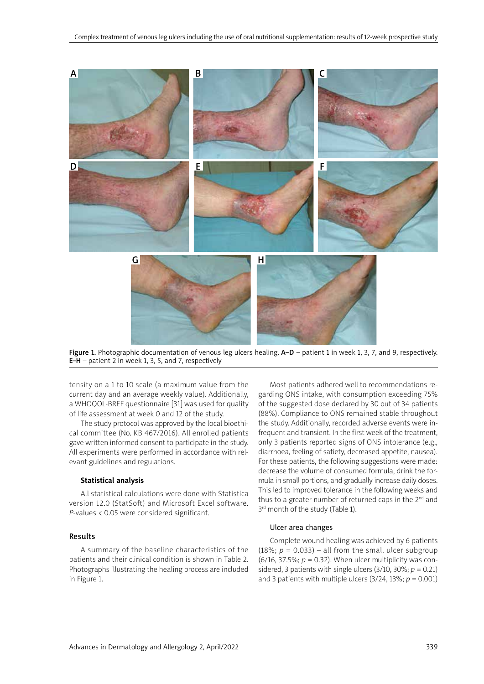

Figure 1. Photographic documentation of venous leg ulcers healing. A–D – patient 1 in week 1, 3, 7, and 9, respectively. **E–H** – patient 2 in week 1, 3, 5, and 7, respectively

tensity on a 1 to 10 scale (a maximum value from the current day and an average weekly value). Additionally, a WHOQOL-BREF questionnaire [31] was used for quality of life assessment at week 0 and 12 of the study.

The study protocol was approved by the local bioethical committee (No. KB 467/2016). All enrolled patients gave written informed consent to participate in the study. All experiments were performed in accordance with relevant guidelines and regulations.

#### **Statistical analysis**

All statistical calculations were done with Statistica version 12.0 (StatSoft) and Microsoft Excel software. *P*-values < 0.05 were considered significant.

# Results

A summary of the baseline characteristics of the patients and their clinical condition is shown in Table 2. Photographs illustrating the healing process are included in Figure 1.

Most patients adhered well to recommendations regarding ONS intake, with consumption exceeding 75% of the suggested dose declared by 30 out of 34 patients (88%). Compliance to ONS remained stable throughout the study. Additionally, recorded adverse events were infrequent and transient. In the first week of the treatment, only 3 patients reported signs of ONS intolerance (e.g., diarrhoea, feeling of satiety, decreased appetite, nausea). For these patients, the following suggestions were made: decrease the volume of consumed formula, drink the formula in small portions, and gradually increase daily doses. This led to improved tolerance in the following weeks and thus to a greater number of returned caps in the 2<sup>nd</sup> and 3<sup>rd</sup> month of the study (Table 1).

## Ulcer area changes

Complete wound healing was achieved by 6 patients (18%;  $p = 0.033$ ) – all from the small ulcer subgroup (6/16, 37.5%;  $p = 0.32$ ). When ulcer multiplicity was considered, 3 patients with single ulcers  $(3/10, 30\%; p = 0.21)$ and 3 patients with multiple ulcers (3/24, 13%; *p* = 0.001)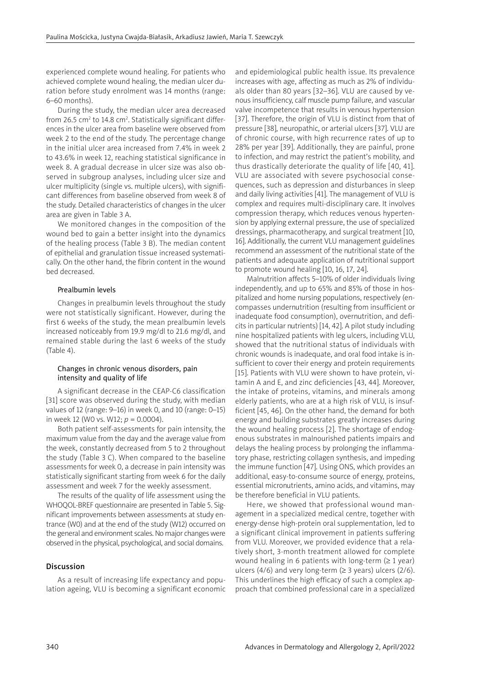experienced complete wound healing. For patients who achieved complete wound healing, the median ulcer duration before study enrolment was 14 months (range: 6–60 months).

During the study, the median ulcer area decreased from 26.5 cm $^{\rm 2}$  to 14.8 cm $^{\rm 2}$ . Statistically significant differences in the ulcer area from baseline were observed from week 2 to the end of the study. The percentage change in the initial ulcer area increased from 7.4% in week 2 to 43.6% in week 12, reaching statistical significance in week 8. A gradual decrease in ulcer size was also observed in subgroup analyses, including ulcer size and ulcer multiplicity (single vs. multiple ulcers), with significant differences from baseline observed from week 8 of the study. Detailed characteristics of changes in the ulcer area are given in Table 3 A.

We monitored changes in the composition of the wound bed to gain a better insight into the dynamics of the healing process (Table 3 B). The median content of epithelial and granulation tissue increased systematically. On the other hand, the fibrin content in the wound bed decreased.

# Prealbumin levels

Changes in prealbumin levels throughout the study were not statistically significant. However, during the first 6 weeks of the study, the mean prealbumin levels increased noticeably from 19.9 mg/dl to 21.6 mg/dl, and remained stable during the last 6 weeks of the study (Table 4).

# Changes in chronic venous disorders, pain intensity and quality of life

A significant decrease in the CEAP-C6 classification [31] score was observed during the study, with median values of 12 (range: 9–16) in week 0, and 10 (range: 0–15) in week 12 (W0 vs. W12; *p* = 0.0004).

Both patient self-assessments for pain intensity, the maximum value from the day and the average value from the week, constantly decreased from 5 to 2 throughout the study (Table 3 C). When compared to the baseline assessments for week 0, a decrease in pain intensity was statistically significant starting from week 6 for the daily assessment and week 7 for the weekly assessment.

The results of the quality of life assessment using the WHOQOL-BREF questionnaire are presented in Table 5. Significant improvements between assessments at study entrance (W0) and at the end of the study (W12) occurred on the general and environment scales. No major changes were observed in the physical, psychological, and social domains.

# Discussion

As a result of increasing life expectancy and population ageing, VLU is becoming a significant economic and epidemiological public health issue. Its prevalence increases with age, affecting as much as 2% of individuals older than 80 years [32–36]. VLU are caused by venous insufficiency, calf muscle pump failure, and vascular valve incompetence that results in venous hypertension [37]. Therefore, the origin of VLU is distinct from that of pressure [38], neuropathic, or arterial ulcers [37]. VLU are of chronic course, with high recurrence rates of up to 28% per year [39]. Additionally, they are painful, prone to infection, and may restrict the patient's mobility, and thus drastically deteriorate the quality of life [40, 41]. VLU are associated with severe psychosocial consequences, such as depression and disturbances in sleep and daily living activities [41]. The management of VLU is complex and requires multi-disciplinary care. It involves compression therapy, which reduces venous hypertension by applying external pressure, the use of specialized dressings, pharmacotherapy, and surgical treatment [10, 16]. Additionally, the current VLU management guidelines recommend an assessment of the nutritional state of the patients and adequate application of nutritional support to promote wound healing [10, 16, 17, 24].

Malnutrition affects 5–10% of older individuals living independently, and up to 65% and 85% of those in hospitalized and home nursing populations, respectively (encompasses undernutrition (resulting from insufficient or inadequate food consumption), overnutrition, and deficits in particular nutrients) [14, 42]. A pilot study including nine hospitalized patients with leg ulcers, including VLU, showed that the nutritional status of individuals with chronic wounds is inadequate, and oral food intake is insufficient to cover their energy and protein requirements [15]. Patients with VLU were shown to have protein, vitamin A and E, and zinc deficiencies [43, 44]. Moreover, the intake of proteins, vitamins, and minerals among elderly patients, who are at a high risk of VLU, is insufficient [45, 46]. On the other hand, the demand for both energy and building substrates greatly increases during the wound healing process [2]. The shortage of endogenous substrates in malnourished patients impairs and delays the healing process by prolonging the inflammatory phase, restricting collagen synthesis, and impeding the immune function [47]. Using ONS, which provides an additional, easy-to-consume source of energy, proteins, essential micronutrients, amino acids, and vitamins, may be therefore beneficial in VLU patients.

Here, we showed that professional wound management in a specialized medical centre, together with energy-dense high-protein oral supplementation, led to a significant clinical improvement in patients suffering from VLU. Moreover, we provided evidence that a relatively short, 3-month treatment allowed for complete wound healing in 6 patients with long-term  $(≥ 1$  year) ulcers (4/6) and very long-term ( $\geq$  3 years) ulcers (2/6). This underlines the high efficacy of such a complex approach that combined professional care in a specialized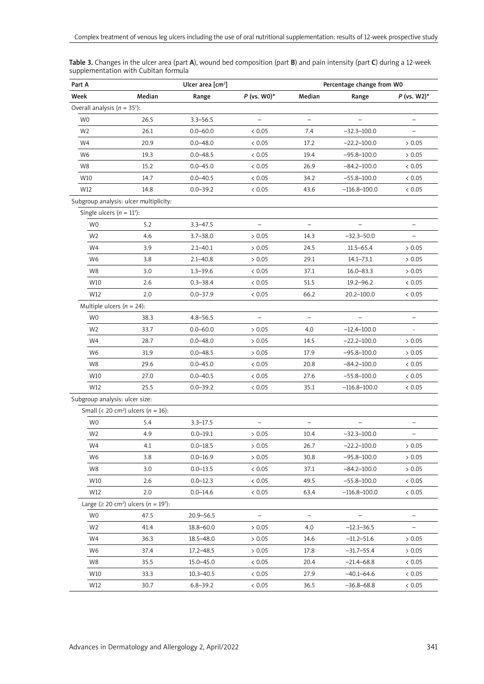| Part A                                             |                                                                    | Ulcer area $[cm2]$ |                          | Percentage change from WO |                          |                          |  |
|----------------------------------------------------|--------------------------------------------------------------------|--------------------|--------------------------|---------------------------|--------------------------|--------------------------|--|
| Week                                               | Median                                                             | Range              | $P$ (vs. W0)*            | Median                    | Range                    | $P$ (vs. W2)*            |  |
| Overall analysis ( $n = 35$ <sup>†</sup> ):        |                                                                    |                    |                          |                           |                          |                          |  |
| W <sub>0</sub>                                     | 26.5                                                               | $3.3 - 56.5$       | -                        | $\overline{\phantom{0}}$  | $\overline{\phantom{0}}$ | $\qquad \qquad -$        |  |
| W <sub>2</sub>                                     | 26.1                                                               | $0.0 - 60.0$       | < 0.05                   | 7.4                       | $-32.3 - 100.0$          |                          |  |
| W4                                                 | 20.9                                                               | $0.0 - 48.0$       | < 0.05                   | 17.2                      | $-22.2 - 100.0$          | > 0.05                   |  |
| W6                                                 | 19.3                                                               | $0.0 - 48.5$       | < 0.05                   | 19.4                      | $-95.8 - 100.0$          | $> 0.05$                 |  |
| W8                                                 | 15.2                                                               | $0.0 - 45.0$       | < 0.05                   | 26.9                      | $-84.2 - 100.0$          | < 0.05                   |  |
| W10                                                | 14.7                                                               | $0.0 - 40.5$       | < 0.05                   | 34.2                      | $-55.8 - 100.0$          | < 0.05                   |  |
| W12                                                | 14.8                                                               | $0.0 - 39.2$       | < 0.05                   | 43.6                      | $-116.8 - 100.0$         | < 0.05                   |  |
| Subgroup analysis: ulcer multiplicity:             |                                                                    |                    |                          |                           |                          |                          |  |
| Single ulcers ( $n = 11^{\dagger}$ ):              |                                                                    |                    |                          |                           |                          |                          |  |
| W <sub>0</sub>                                     | 5.2                                                                | $3.3 - 47.5$       |                          |                           |                          |                          |  |
| W <sub>2</sub>                                     | 4.6                                                                | $3.7 - 38.0$       | > 0.05                   | 14.3                      | $-32.3 - 50.0$           | $\qquad \qquad -$        |  |
| W4                                                 | 3.9                                                                | $2.1 - 40.1$       | > 0.05                   | 24.5                      | $11.5 - 65.4$            | > 0.05                   |  |
| W6                                                 | 3.8                                                                | $2.1 - 40.8$       | > 0.05                   | 29.1                      | $14.1 - 73.1$            | > 0.05                   |  |
| W8                                                 | 3.0                                                                | $1.3 - 39.6$       | < 0.05                   | 37.1                      | $16.0 - 83.3$            | > 0.05                   |  |
| W10                                                | 2.6                                                                | $0.3 - 38.4$       | < 0.05                   | 51.5                      | $19.2 - 96.2$            | < 0.05                   |  |
| W12                                                | 2.0                                                                | $0.0 - 37.9$       | < 0.05                   | 66.2                      | 20.2-100.0               | < 0.05                   |  |
| Multiple ulcers ( $n = 24$ ):                      |                                                                    |                    |                          |                           |                          |                          |  |
| W <sub>0</sub>                                     | 38.3                                                               | $4.8 - 56.5$       |                          |                           |                          |                          |  |
| W <sub>2</sub>                                     | 33.7                                                               | $0.0 - 60.0$       | > 0.05                   | 4.0                       | $-12.4 - 100.0$          | $\overline{\phantom{a}}$ |  |
| W4                                                 | 28.7                                                               | $0.0 - 48.0$       | > 0.05                   | 14.5                      | $-22.2 - 100.0$          | > 0.05                   |  |
| W6                                                 | 31.9                                                               | $0.0 - 48.5$       | > 0.05                   | 17.9                      | $-95.8 - 100.0$          | > 0.05                   |  |
| W8                                                 | 29.6                                                               | $0.0 - 45.0$       | < 0.05                   | 20.8                      | $-84.2 - 100.0$          | < 0.05                   |  |
| W10                                                | 27.0                                                               | $0.0 - 40.5$       | < 0.05                   | 27.6                      | $-55.8 - 100.0$          | < 0.05                   |  |
| W12                                                | 25.5                                                               | $0.0 - 39.2$       | < 0.05                   | 35.1                      | $-116.8 - 100.0$         | < 0.05                   |  |
| Subgroup analysis: ulcer size:                     |                                                                    |                    |                          |                           |                          |                          |  |
| Small (< 20 cm <sup>2</sup> ) ulcers ( $n = 16$ ): |                                                                    |                    |                          |                           |                          |                          |  |
| <b>WO</b>                                          | 5.4                                                                | $3.3 - 17.5$       | $\qquad \qquad -$        | $\qquad \qquad -$         | $\overline{\phantom{0}}$ | $\overline{\phantom{0}}$ |  |
| W <sub>2</sub>                                     | 4.9                                                                | $0.0 - 19.1$       | > 0.05                   | 10.4                      | $-32.3 - 100.0$          |                          |  |
| W4                                                 | 4.1                                                                | $0.0 - 18.5$       | > 0.05                   | 26.7                      | $-22.2 - 100.0$          | > 0.05                   |  |
| W6                                                 | 3.8                                                                | $0.0 - 16.9$       | > 0.05                   | 30.8                      | $-95.8 - 100.0$          | > 0.05                   |  |
| W8                                                 | 3.0                                                                | $0.0 - 13.5$       | < 0.05                   | 37.1                      | $-84.2 - 100.0$          | > 0.05                   |  |
| W10                                                | 2.6                                                                | $0.0 - 12.3$       | < 0.05                   | 49.5                      | $-55.8 - 100.0$          | < 0.05                   |  |
| W12                                                | 2.0                                                                | $0.0 - 14.6$       | < 0.05                   | 63.4                      | $-116.8 - 100.0$         | < 0.05                   |  |
|                                                    | Large ( $\geq$ 20 cm <sup>2</sup> ) ulcers ( $n = 19^{\dagger}$ ): |                    |                          |                           |                          |                          |  |
| W0                                                 | 47.5                                                               | $20.9 - 56.5$      | $\overline{\phantom{0}}$ | $\overline{\phantom{a}}$  |                          |                          |  |
| W <sub>2</sub>                                     | 41.4                                                               | 18.8-60.0          | > 0.05                   | 4.0                       | $-12.1 - 36.5$           |                          |  |
| W4                                                 | 36.3                                                               | $18.5 - 48.0$      | > 0.05                   | 14.6                      | $-11.2 - 51.6$           | > 0.05                   |  |
| W6                                                 | 37.4                                                               | 17.2-48.5          | > 0.05                   | 17.8                      | $-31.7 - 55.4$           | > 0.05                   |  |
| W8                                                 | 35.5                                                               | 15.0-45.0          | < 0.05                   | 20.4                      | $-21.4 - 68.8$           | < 0.05                   |  |
| W10                                                | 33.3                                                               | $10.3 - 40.5$      | < 0.05                   | 27.9                      | $-40.1 - 64.6$           | < 0.05                   |  |
| W12                                                | 30.7                                                               | $6.8 - 39.2$       | < 0.05                   | 36.5                      | $-36.8 - 68.8$           | < 0.05                   |  |

Table 3. Changes in the ulcer area (part A), wound bed composition (part B) and pain intensity (part C) during a 12-week supplementation with Cubitan formula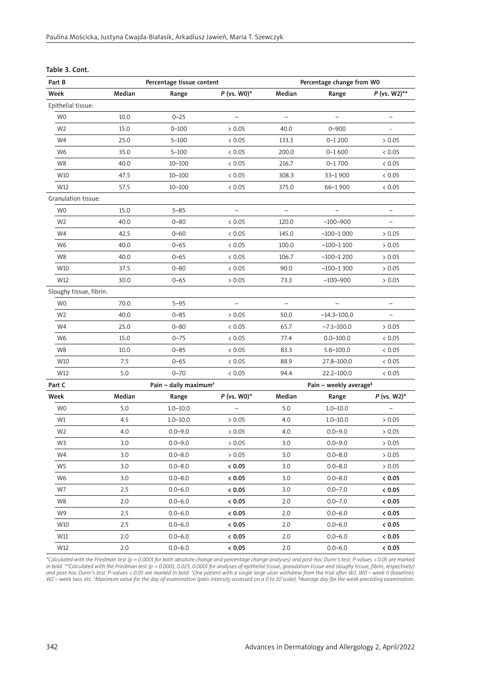| Table 3. Cont. |
|----------------|
|                |

| Part B                  |        | Percentage change from WO<br>Percentage tissue content |                          |                                    |                          |                          |
|-------------------------|--------|--------------------------------------------------------|--------------------------|------------------------------------|--------------------------|--------------------------|
| Week                    | Median | Range                                                  | $P$ (vs. W0)*            | Median                             | Range                    | $P$ (vs. W2)**           |
| Epithelial tissue:      |        |                                                        |                          |                                    |                          |                          |
| W <sub>0</sub>          | 10.0   | $0 - 25$                                               | $\qquad \qquad -$        | $\qquad \qquad -$                  | $\overline{\phantom{0}}$ |                          |
| W <sub>2</sub>          | 15.0   | $0 - 100$                                              | > 0.05                   | 40.0                               | $0 - 900$                |                          |
| W4                      | 25.0   | $5 - 100$                                              | < 0.05                   | 133.3                              | $0 - 1200$               | > 0.05                   |
| W6                      | 35.0   | $5 - 100$                                              | < 0.05                   | 200.0                              | $0 - 1600$               | < 0.05                   |
| W8                      | 40.0   | $10 - 100$                                             | & 0.05                   | 216.7                              | $0 - 1700$               | < 0.05                   |
| W10                     | 47.5   | $10 - 100$                                             | < 0.05                   | 308.3                              | 33-1900                  | < 0.05                   |
| W12                     | 57.5   | $10 - 100$                                             | < 0.05                   | 375.0                              | 66-1900                  | < 0.05                   |
| Granulation tissue:     |        |                                                        |                          |                                    |                          |                          |
| W <sub>0</sub>          | 15.0   | $5 - 85$                                               | $\overline{\phantom{a}}$ | $\equiv$                           | $\overline{\phantom{0}}$ | $\overline{\phantom{0}}$ |
| W <sub>2</sub>          | 40.0   | $0 - 80$                                               | < 0.05                   | 120.0                              | $-100 - 900$             |                          |
| W4                      | 42.5   | $0 - 60$                                               | < 0.05                   | 145.0                              | $-100-1000$              | > 0.05                   |
| W6                      | 40.0   | $0 - 65$                                               | < 0.05                   | 100.0                              | $-100-1100$              | > 0.05                   |
| W8                      | 40.0   | $0 - 65$                                               | < 0.05                   | 106.7                              | $-100-1200$              | > 0.05                   |
| W10                     | 37.5   | $0 - 80$                                               | < 0.05                   | 90.0                               | $-100-1300$              | > 0.05                   |
| W12                     | 30.0   | $0 - 65$                                               | > 0.05                   | 73.3                               | $-100 - 900$             | > 0.05                   |
| Sloughy tissue, fibrin: |        |                                                        |                          |                                    |                          |                          |
| W <sub>0</sub>          | 70.0   | $5 - 95$                                               | $\overline{\phantom{0}}$ | $\qquad \qquad -$                  |                          | $\qquad \qquad -$        |
| W <sub>2</sub>          | 40.0   | $0 - 85$                                               | > 0.05                   | 50.0                               | $-14.3 - 100.0$          | $\overline{\phantom{0}}$ |
| W4                      | 25.0   | $0 - 80$                                               | < 0.05                   | 65.7                               | $-7.1 - 100.0$           | > 0.05                   |
| W6                      | 15.0   | $0 - 75$                                               | < 0.05                   | 77.4                               | $0.0 - 100.0$            | < 0.05                   |
| W8                      | 10.0   | $0 - 85$                                               | < 0.05                   | 83.3                               | $5.6 - 100.0$            | < 0.05                   |
| W10                     | 7.5    | $0 - 65$                                               | < 0.05                   | 88.9                               | 27.8-100.0               | < 0.05                   |
| W12                     | 5.0    | $0 - 70$                                               | < 0.05                   | 94.4                               | 22.2-100.0               | < 0.05                   |
| Part C                  |        | Pain - daily maximum <sup>+</sup>                      |                          | Pain - weekly average <sup>§</sup> |                          |                          |
| Week                    | Median | Range                                                  | $P$ (vs. W0)*            | Median                             | Range                    | $P$ (vs. W2)*            |
| W <sub>0</sub>          | 5.0    | $1.0 - 10.0$                                           | $\qquad \qquad -$        | 5.0                                | $1.0 - 10.0$             | $\qquad \qquad -$        |
| W1                      | 4.5    | $1.0 - 10.0$                                           | > 0.05                   | 4.0                                | $1.0 - 10.0$             | > 0.05                   |
| W <sub>2</sub>          | 4.0    | $0.0 - 9.0$                                            | > 0.05                   | 4.0                                | $0.0 - 9.0$              | > 0.05                   |
| W3                      | 3.0    | $0.0 - 9.0$                                            | > 0.05                   | 3.0                                | $0.0 - 9.0$              | > 0.05                   |
| W4                      | 3.0    | $0.0 - 8.0$                                            | > 0.05                   | 3.0                                | $0.0 - 8.0$              | > 0.05                   |
| W5                      | 3.0    | $0.0 - 8.0$                                            | 0.05                     | 3.0                                | $0.0 - 8.0$              | > 0.05                   |
| W6                      | 3.0    | $0.0 - 8.0$                                            | < 0.05                   | 3.0                                | $0.0 - 8.0$              | < 0.05                   |
| W7                      | 2.5    | $0.0 - 6.0$                                            | < 0.05                   | 3.0                                | $0.0 - 7.0$              | < 0.05                   |
| W8                      | 2.0    | $0.0 - 6.0$                                            | < 0.05                   | 2.0                                | $0.0 - 7.0$              | & 0.05                   |
| W9                      | 2.5    | $0.0 - 6.0$                                            | & 0.05                   | 2.0                                | $0.0 - 6.0$              | & 0.05                   |
| W10                     | 2.5    | $0.0 - 6.0$                                            | 0.05                     | 2.0                                | $0.0 - 6.0$              | < 0.05                   |
| W11                     | 2.0    | $0.0 - 6.0$                                            | < 0.05                   | 2.0                                | $0.0 - 6.0$              | < 0.05                   |
| W12                     | 2.0    | $0.0 - 6.0$                                            | < 0.05                   | 2.0                                | $0.0 - 6.0$              | < 0.05                   |

*\*Calculated with the Friedman test (p = 0.0001 for both absolute change and percentage change analyses) and post-hoc Dunn's test. P-values < 0.05 are marked*  in bold. \*\*Calculated with the Friedman test (p = 0.0001, 0.025, 0.0001 for analyses of epithelial tissue, granulation tissue and sloughy tissue, fibrin, respectively)<br>and post-hoc Dunn's test. P-values < 0.05 are marked i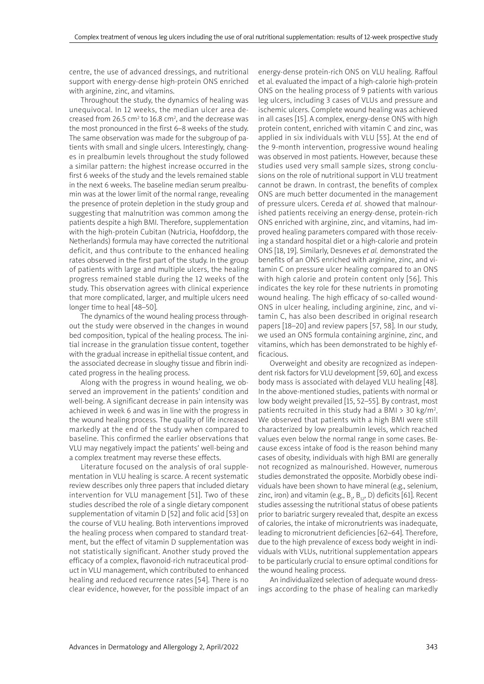centre, the use of advanced dressings, and nutritional support with energy-dense high-protein ONS enriched with arginine, zinc, and vitamins.

Throughout the study, the dynamics of healing was unequivocal. In 12 weeks, the median ulcer area decreased from 26.5 cm<sup>2</sup> to 16.8 cm<sup>2</sup>, and the decrease was the most pronounced in the first 6–8 weeks of the study. The same observation was made for the subgroup of patients with small and single ulcers. Interestingly, changes in prealbumin levels throughout the study followed a similar pattern: the highest increase occurred in the first 6 weeks of the study and the levels remained stable in the next 6 weeks. The baseline median serum prealbumin was at the lower limit of the normal range, revealing the presence of protein depletion in the study group and suggesting that malnutrition was common among the patients despite a high BMI. Therefore, supplementation with the high-protein Cubitan (Nutricia, Hoofddorp, the Netherlands) formula may have corrected the nutritional deficit, and thus contribute to the enhanced healing rates observed in the first part of the study. In the group of patients with large and multiple ulcers, the healing progress remained stable during the 12 weeks of the study. This observation agrees with clinical experience that more complicated, larger, and multiple ulcers need longer time to heal [48–50].

The dynamics of the wound healing process throughout the study were observed in the changes in wound bed composition, typical of the healing process. The initial increase in the granulation tissue content, together with the gradual increase in epithelial tissue content, and the associated decrease in sloughy tissue and fibrin indicated progress in the healing process.

Along with the progress in wound healing, we observed an improvement in the patients' condition and well-being. A significant decrease in pain intensity was achieved in week 6 and was in line with the progress in the wound healing process. The quality of life increased markedly at the end of the study when compared to baseline. This confirmed the earlier observations that VLU may negatively impact the patients' well-being and a complex treatment may reverse these effects.

Literature focused on the analysis of oral supplementation in VLU healing is scarce. A recent systematic review describes only three papers that included dietary intervention for VLU management [51]. Two of these studies described the role of a single dietary component supplementation of vitamin D [52] and folic acid [53] on the course of VLU healing. Both interventions improved the healing process when compared to standard treatment, but the effect of vitamin D supplementation was not statistically significant. Another study proved the efficacy of a complex, flavonoid-rich nutraceutical product in VLU management, which contributed to enhanced healing and reduced recurrence rates [54]. There is no clear evidence, however, for the possible impact of an energy-dense protein-rich ONS on VLU healing. Raffoul et al. evaluated the impact of a high-calorie high-protein ONS on the healing process of 9 patients with various leg ulcers, including 3 cases of VLUs and pressure and ischemic ulcers. Complete wound healing was achieved in all cases [15]. A complex, energy-dense ONS with high protein content, enriched with vitamin C and zinc, was applied in six individuals with VLU [55]. At the end of the 9-month intervention, progressive wound healing was observed in most patients. However, because these studies used very small sample sizes, strong conclusions on the role of nutritional support in VLU treatment cannot be drawn. In contrast, the benefits of complex ONS are much better documented in the management of pressure ulcers. Cereda *et al.* showed that malnourished patients receiving an energy-dense, protein-rich ONS enriched with arginine, zinc, and vitamins, had improved healing parameters compared with those receiving a standard hospital diet or a high-calorie and protein ONS [18, 19]. Similarly, Desneves *et al.* demonstrated the benefits of an ONS enriched with arginine, zinc, and vitamin C on pressure ulcer healing compared to an ONS with high calorie and protein content only [56]. This indicates the key role for these nutrients in promoting wound healing. The high efficacy of so-called wound-ONS in ulcer healing, including arginine, zinc, and vitamin C, has also been described in original research papers [18–20] and review papers [57, 58]. In our study, we used an ONS formula containing arginine, zinc, and vitamins, which has been demonstrated to be highly efficacious.

Overweight and obesity are recognized as independent risk factors for VLU development [59, 60], and excess body mass is associated with delayed VLU healing [48]. In the above-mentioned studies, patients with normal or low body weight prevailed [15, 52–55]. By contrast, most patients recruited in this study had a BMI > 30 kg/m2 . We observed that patients with a high BMI were still characterized by low prealbumin levels, which reached values even below the normal range in some cases. Because excess intake of food is the reason behind many cases of obesity, individuals with high BMI are generally not recognized as malnourished. However, numerous studies demonstrated the opposite. Morbidly obese individuals have been shown to have mineral (e.g., selenium, zinc, iron) and vitamin (e.g.,  $B_1$ ,  $B_{12}$ , D) deficits [61]. Recent studies assessing the nutritional status of obese patients prior to bariatric surgery revealed that, despite an excess of calories, the intake of micronutrients was inadequate, leading to micronutrient deficiencies [62–64]. Therefore, due to the high prevalence of excess body weight in individuals with VLUs, nutritional supplementation appears to be particularly crucial to ensure optimal conditions for the wound healing process.

An individualized selection of adequate wound dressings according to the phase of healing can markedly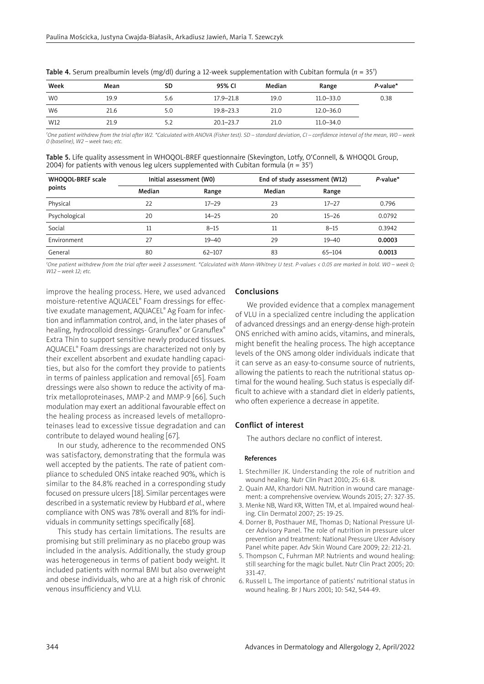| Week           | Mean | SD  | 95% CI        | Median | Range         | $P$ -value* |
|----------------|------|-----|---------------|--------|---------------|-------------|
| W0             | 19.9 | 5.6 | 17.9–21.8     | 19.0   | $11.0 - 33.0$ | 0.38        |
| W <sub>6</sub> | 21.6 | 5.0 | $19.8 - 23.3$ | 21.0   | $12.0 - 36.0$ |             |
| W12            | 21.9 |     | $20.1 - 23.7$ | 21.0   | $11.0 - 34.0$ |             |

Table 4. Serum prealbumin levels (mg/dl) during a 12-week supplementation with Cubitan formula (*n* = 35† )

*† One patient withdrew from the trial after W2. \*Calculated with ANOVA (Fisher test). SD – standard deviation, CI – confidence interval of the mean, W0 – week 0 (baseline), W2 – week two; etc.*

Table 5. Life quality assessment in WHOQOL-BREF questionnaire (Skevington, Lotfy, O'Connell, & WHOQOL Group, 2004) for patients with venous leg ulcers supplemented with Cubitan formula ( $n = 35$ <sup>t</sup>)

| WHOQOL-BREF scale<br>points | Initial assessment (WO) |            | End of study assessment (W12) | $P$ -value* |        |
|-----------------------------|-------------------------|------------|-------------------------------|-------------|--------|
|                             | Median                  | Range      | Median                        | Range       |        |
| Physical                    | 22                      | $17 - 29$  | 23                            | $17 - 27$   | 0.796  |
| Psychological               | 20                      | $14 - 25$  | 20                            | $15 - 26$   | 0.0792 |
| Social                      | 11                      | $8 - 15$   | 11                            | $8 - 15$    | 0.3942 |
| Environment                 | 27                      | $19 - 40$  | 29                            | $19 - 40$   | 0.0003 |
| General                     | 80                      | $62 - 107$ | 83                            | $65 - 104$  | 0.0013 |

*† One patient withdrew from the trial after week 2 assessment. \*Calculated with Mann-Whitney U test. P-values < 0.05 are marked in bold. W0 – week 0; W12 – week 12; etc.*

improve the healing process. Here, we used advanced moisture-retentive AQUACEL® Foam dressings for effective exudate management, AQUACEL® Ag Foam for infection and inflammation control, and, in the later phases of healing, hydrocolloid dressings- Granuflex® or Granuflex® Extra Thin to support sensitive newly produced tissues. AQUACEL® Foam dressings are characterized not only by their excellent absorbent and exudate handling capacities, but also for the comfort they provide to patients in terms of painless application and removal [65]. Foam dressings were also shown to reduce the activity of matrix metalloproteinases, MMP-2 and MMP-9 [66]. Such modulation may exert an additional favourable effect on the healing process as increased levels of metalloproteinases lead to excessive tissue degradation and can contribute to delayed wound healing [67].

In our study, adherence to the recommended ONS was satisfactory, demonstrating that the formula was well accepted by the patients. The rate of patient compliance to scheduled ONS intake reached 90%, which is similar to the 84.8% reached in a corresponding study focused on pressure ulcers [18]. Similar percentages were described in a systematic review by Hubbard *et al.*, where compliance with ONS was 78% overall and 81% for individuals in community settings specifically [68].

This study has certain limitations. The results are promising but still preliminary as no placebo group was included in the analysis. Additionally, the study group was heterogeneous in terms of patient body weight. It included patients with normal BMI but also overweight and obese individuals, who are at a high risk of chronic venous insufficiency and VLU.

#### Conclusions

We provided evidence that a complex management of VLU in a specialized centre including the application of advanced dressings and an energy-dense high-protein ONS enriched with amino acids, vitamins, and minerals, might benefit the healing process. The high acceptance levels of the ONS among older individuals indicate that it can serve as an easy-to-consume source of nutrients, allowing the patients to reach the nutritional status optimal for the wound healing. Such status is especially difficult to achieve with a standard diet in elderly patients, who often experience a decrease in appetite.

# Conflict of interest

The authors declare no conflict of interest.

## References

- 1. Stechmiller JK. Understanding the role of nutrition and wound healing. Nutr Clin Pract 2010; 25: 61-8.
- 2. Quain AM, Khardori NM. Nutrition in wound care management: a comprehensive overview. Wounds 2015; 27: 327-35.
- 3. Menke NB, Ward KR, Witten TM, et al. Impaired wound healing. Clin Dermatol 2007; 25: 19-25.
- 4. Dorner B, Posthauer ME, Thomas D; National Pressure Ulcer Advisory Panel. The role of nutrition in pressure ulcer prevention and treatment: National Pressure Ulcer Advisory Panel white paper. Adv Skin Wound Care 2009; 22: 212-21.
- 5. Thompson C, Fuhrman MP. Nutrients and wound healing: still searching for the magic bullet. Nutr Clin Pract 2005; 20: 331-47.
- 6. Russell L. The importance of patients' nutritional status in wound healing. Br J Nurs 2001; 10: S42, S44-49.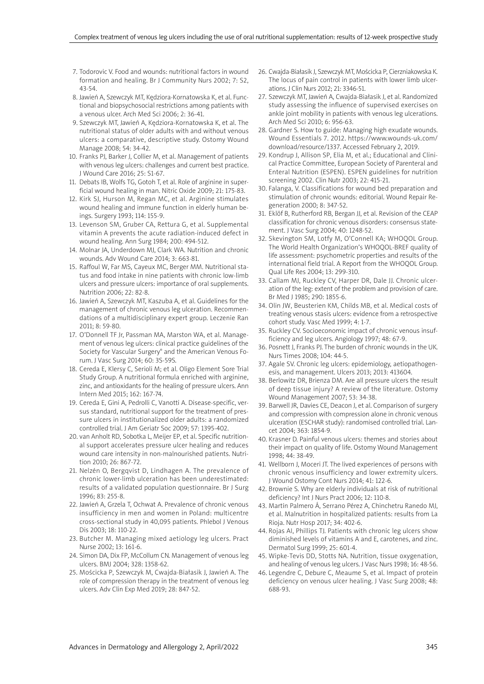- 7. Todorovic V. Food and wounds: nutritional factors in wound formation and healing. Br J Community Nurs 2002; 7: S2, 43-54.
- 8. Jawień A, Szewczyk MT, Kędziora-Kornatowska K, et al. Functional and biopsychosocial restrictions among patients with a venous ulcer. Arch Med Sci 2006; 2: 36-41.
- 9. Szewczyk MT, Jawień A, Kędziora-Kornatowska K, et al. The nutritional status of older adults with and without venous ulcers: a comparative, descriptive study. Ostomy Wound Manage 2008; 54: 34-42.
- 10. Franks PJ, Barker J, Collier M, et al. Management of patients with venous leg ulcers: challenges and current best practice. J Wound Care 2016; 25: S1-67.
- 11. Debats IB, Wolfs TG, Gotoh T, et al. Role of arginine in superficial wound healing in man. Nitric Oxide 2009; 21: 175-83.
- 12. Kirk SJ, Hurson M, Regan MC, et al. Arginine stimulates wound healing and immune function in elderly human beings. Surgery 1993; 114: 155-9.
- 13. Levenson SM, Gruber CA, Rettura G, et al. Supplemental vitamin A prevents the acute radiation-induced defect in wound healing. Ann Surg 1984; 200: 494-512.
- 14. Molnar JA, Underdown MJ, Clark WA. Nutrition and chronic wounds. Adv Wound Care 2014; 3: 663-81.
- 15. Raffoul W, Far MS, Cayeux MC, Berger MM. Nutritional status and food intake in nine patients with chronic low-limb ulcers and pressure ulcers: importance of oral supplements. Nutrition 2006; 22: 82-8.
- 16. Jawień A, Szewczyk MT, Kaszuba A, et al. Guidelines for the management of chronic venous leg ulceration. Recommendations of a multidisciplinary expert group. Leczenie Ran 2011; 8: 59-80.
- 17. O'Donnell TF Jr, Passman MA, Marston WA, et al. Management of venous leg ulcers: clinical practice guidelines of the Society for Vascular Surgery® and the American Venous Forum. J Vasc Surg 2014; 60: 3S-59S.
- 18. Cereda E, Klersy C, Serioli M; et al. Oligo Element Sore Trial Study Group. A nutritional formula enriched with arginine, zinc, and antioxidants for the healing of pressure ulcers. Ann Intern Med 2015; 162: 167-74.
- 19. Cereda E, Gini A, Pedrolli C, Vanotti A. Disease-specific, versus standard, nutritional support for the treatment of pressure ulcers in institutionalized older adults: a randomized controlled trial. J Am Geriatr Soc 2009; 57: 1395-402.
- 20. van Anholt RD, Sobotka L, Meijer EP, et al. Specific nutritional support accelerates pressure ulcer healing and reduces wound care intensity in non-malnourished patients. Nutrition 2010; 26: 867-72.
- 21. Nelzén O, Bergqvist D, Lindhagen A. The prevalence of chronic lower-limb ulceration has been underestimated: results of a validated population questionnaire. Br J Surg 1996; 83: 255-8.
- 22. Jawień A, Grzela T, Ochwat A. Prevalence of chronic venous insufficiency in men and women in Poland: multicentre cross-sectional study in 40,095 patients. Phlebol J Venous Dis 2003; 18: 110-22.
- 23. Butcher M. Managing mixed aetiology leg ulcers. Pract Nurse 2002; 13: 161-6.
- 24. Simon DA, Dix FP, McCollum CN. Management of venous leg ulcers. BMJ 2004; 328: 1358-62.
- 25. Mościcka P, Szewczyk M, Cwajda-Białasik J, Jawień A. The role of compression therapy in the treatment of venous leg ulcers. Adv Clin Exp Med 2019; 28: 847-52.
- 26. Cwajda-Białasik J, Szewczyk MT, Mościcka P, Cierzniakowska K. The locus of pain control in patients with lower limb ulcerations. J Clin Nurs 2012; 21: 3346-51.
- 27. Szewczyk MT, Jawień A, Cwajda-Białasik J, et al. Randomized study assessing the influence of supervised exercises on ankle joint mobility in patients with venous leg ulcerations. Arch Med Sci 2010; 6: 956-63.
- 28. Gardner S. How to guide: Managing high exudate wounds. Wound Essentials 7. 2012. https://www.wounds-uk.com/ download/resource/1337. Accessed February 2, 2019.
- 29. Kondrup J, Allison SP, Elia M, et al.; Educational and Clinical Practice Committee, European Society of Parenteral and Enteral Nutrition (ESPEN). ESPEN guidelines for nutrition screening 2002. Clin Nutr 2003; 22: 415-21.
- 30. Falanga, V. Classifications for wound bed preparation and stimulation of chronic wounds: editorial. Wound Repair Regeneration 2000; 8: 347-52.
- 31. Eklöf B, Rutherford RB, Bergan JJ, et al. Revision of the CEAP classification for chronic venous disorders: consensus statement. J Vasc Surg 2004; 40: 1248-52.
- 32. Skevington SM, Lotfy M, O'Connell KA; WHOQOL Group. The World Health Organization's WHOQOL-BREF quality of life assessment: psychometric properties and results of the international field trial. A Report from the WHOQOL Group. Qual Life Res 2004; 13: 299-310.
- 33. Callam MJ, Ruckley CV, Harper DR, Dale JJ. Chronic ulceration of the leg: extent of the problem and provision of care. Br Med J 1985; 290: 1855-6.
- 34. Olin JW, Beusterien KM, Childs MB, et al. Medical costs of treating venous stasis ulcers: evidence from a retrospective cohort study. Vasc Med 1999; 4: 1-7.
- 35. Ruckley CV. Socioeconomic impact of chronic venous insufficiency and leg ulcers. Angiology 1997; 48: 67-9.
- 36. Posnett J, Franks PJ. The burden of chronic wounds in the UK. Nurs Times 2008; 104: 44-5.
- 37. Agale SV. Chronic leg ulcers: epidemiology, aetiopathogenesis, and management. Ulcers 2013; 2013: 413604.
- 38. Berlowitz DR, Brienza DM. Are all pressure ulcers the result of deep tissue injury? A review of the literature. Ostomy Wound Management 2007; 53: 34-38.
- 39. Barwell JR, Davies CE, Deacon J, et al. Comparison of surgery and compression with compression alone in chronic venous ulceration (ESCHAR study): randomised controlled trial. Lancet 2004; 363: 1854-9.
- 40. Krasner D. Painful venous ulcers: themes and stories about their impact on quality of life. Ostomy Wound Management 1998; 44: 38-49.
- 41. Wellborn J, Moceri JT. The lived experiences of persons with chronic venous insufficiency and lower extremity ulcers. J Wound Ostomy Cont Nurs 2014; 41: 122-6.
- 42. Brownie S. Why are elderly individuals at risk of nutritional deficiency? Int J Nurs Pract 2006; 12: 110-8.
- 43. Martín Palmero Á, Serrano Pérez A, Chinchetru Ranedo MJ, et al. Malnutrition in hospitalized patients: results from La Rioja. Nutr Hosp 2017; 34: 402-6.
- 44. Rojas AI, Phillips TJ. Patients with chronic leg ulcers show diminished levels of vitamins A and E, carotenes, and zinc. Dermatol Surg 1999; 25: 601-4.
- 45. Wipke-Tevis DD, Stotts NA. Nutrition, tissue oxygenation, and healing of venous leg ulcers. J Vasc Nurs 1998; 16: 48-56.
- 46. Legendre C, Debure C, Meaume S, et al. Impact of protein deficiency on venous ulcer healing. J Vasc Surg 2008; 48: 688-93.